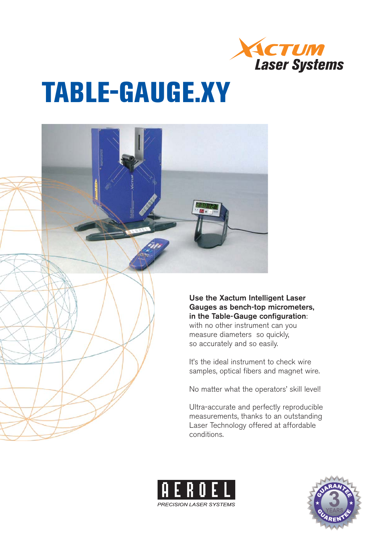

# **TABLE-GAUGE.XY**



**PRECISION LASER SYSTEMS** 

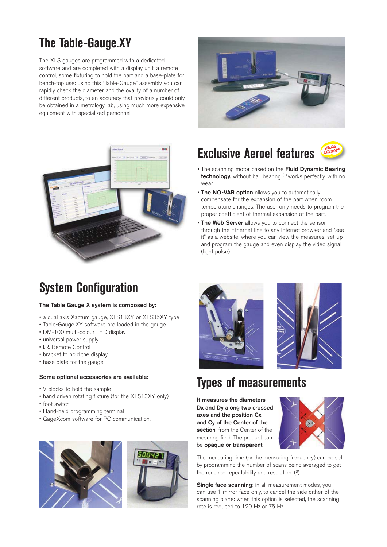# **The Table-Gauge.XY**

The XLS gauges are programmed with a dedicated software and are completed with a display unit, a remote control, some fixturing to hold the part and a base-plate for bench-top use: using this "Table-Gauge" assembly you can rapidly check the diameter and the ovality of a number of different products, to an accuracy that previously could only be obtained in a metrology lab, using much more expensive equipment with specialized personnel.



# **Exclusive Aeroel features**



- The scanning motor based on the **Fluid Dynamic Bearing technology**, without ball bearing <sup>(1)</sup> works perfectly, with no wear.
- **The NO-VAR option** allows you to automatically compensate for the expansion of the part when room temperature changes. The user only needs to program the proper coefficient of thermal expansion of the part.
- **The Web Server** allows you to connect the sensor through the Ethernet line to any Internet browser and "see it" as a website, where you can view the measures, set-up and program the gauge and even display the video signal (light pulse).

# **System Configuration**

- a dual axis Xactum gauge, XLS13XY or XLS35XY type
- Table-Gauge.XY software pre loaded in the gauge
- DM-100 multi-colour LED display
- universal power supply
- I.R. Remote Control
- bracket to hold the display
- base plate for the gauge

### **Some optional accessories are available:**

- V blocks to hold the sample
- hand driven rotating fixture (for the XLS13XY only)
- foot switch
- Hand-held programming terminal
- GageXcom software for PC communication.







# **Types of measurements**

**It measures the diameters Dx and Dy along two crossed axes and the position Cx and Cy of the Center of the section**, from the Center of the mesuring field. The product can be **opaque or transparent**.



The measuring time (or the measuring frequency) can be set by programming the number of scans being averaged to get the required repeatability and resolution. (2)

**Single face scanning:** in all measurement modes, you can use 1 mirror face only, to cancel the side dither of the scanning plane: when this option is selected, the scanning rate is reduced to 120 Hz or 75 Hz.

### **The Table Gauge X system is composed by:**

- 
- 
- 
- 
- 
- 
-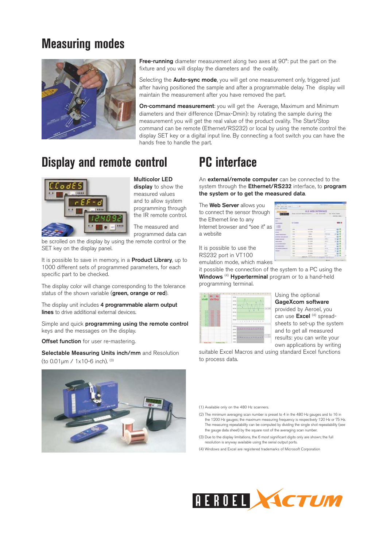### **Measuring modes**



**Free-running** diameter measurement along two axes at 90°: put the part on the fixture and you will display the diameters and the ovality.

Selecting the **Auto-sync mode**, you will get one measurement only, triggered just after having positioned the sample and after a programmable delay. The display will maintain the measurement after you have removed the part.

**On-command measurement**: you will get the Average, Maximum and Minimum diameters and their difference (Dmax-Dmin): by rotating the sample during the measurement you will get the real value of the product ovality. The Start/Stop command can be remote (Ethernet/RS232) or local by using the remote control the display SET key or a digital input line. By connecting a foot switch you can have the hands free to handle the part.

### **Display and remote control**



**Multicolor LED display** to show the measured values and to allow system programming through the IR remote control.

The measured and programmed data can

be scrolled on the display by using the remote control or the SET key on the display panel.

It is possible to save in memory, in a **Product Library**, up to 1000 different sets of programmed parameters, for each specific part to be checked.

The display color will change corresponding to the tolerance status of the shown variable (**green, orange or red**).

The display unit includes **4 programmable alarm output lines** to drive additional external devices.

Simple and quick **programming using the remote control**  keys and the messages on the display.

**Offset function** for user re-mastering.

**Selectable Measuring Units inch/mm** and Resolution (to 0.01μm / 1x10-6 inch). (3)



# **PC interface**

An **external/remote computer** can be connected to the system through the **Ethernet/RS232** interface, to **program the system or to get the measured data**.

The **Web Server** allows you to connect the sensor through the Ethernet line to any Internet browser and "see it" as a website

| <b>DODIS</b>                |                      | XLS WEB INTERFACE<br>Avenue a  La constituto |                  | they welcom present<br><b>CONTRACTOR</b><br><b>MARK LIMB L</b> |
|-----------------------------|----------------------|----------------------------------------------|------------------|----------------------------------------------------------------|
| <b>Land</b>                 | <b>POST</b><br>Caden |                                              |                  |                                                                |
| ٠                           |                      |                                              |                  |                                                                |
| <b>School Street</b>        |                      | <b>WARREN</b>                                |                  |                                                                |
| --                          |                      | 4.4.14                                       |                  |                                                                |
|                             | 100                  | m<br>-                                       | 6335<br>v        |                                                                |
|                             | <b>SEE</b>           | $-$                                          | ٠                |                                                                |
|                             | 114                  | 14444<br>--                                  | si r             |                                                                |
| __<br><b>MARINER</b>        | 444                  |                                              | $-$              |                                                                |
| <b>ALCOHOL:</b>             | m                    | <b>SCHOOL</b>                                | н                |                                                                |
| <b>SERVICE RE</b>           | $\sim$               | <b>MALLASH</b>                               | ÷                |                                                                |
| <b>To A GUINEER CORPORA</b> | m                    | <b>DOG</b>                                   | ۰<br>-           |                                                                |
| -                           | v                    |                                              | <b>Start St.</b> |                                                                |
|                             | ü                    | An wine                                      | m.               |                                                                |
|                             |                      |                                              | -                | $\Box$                                                         |

It is possible to use the RS232 port in VT100 emulation mode, which makes

it possible the connection of the system to a PC using the

Windows<sup>(4)</sup> Hyperterminal program or to a hand-held programming terminal.



Using the optional **GageXcom software** provided by Aeroel, you can use **Excel** (4) spreadsheets to set-up the system and to get all measured results: you can write your own applications by writing

suitable Excel Macros and using standard Excel functions to process data.

(1) Available only on the 480 Hz scanners.

- (2) The minimum averaging scan number is preset to 4 in the 480 Hz gauges and to 16 in the 1200 Hz gauges; the maximum measuring frequency is respectively 120 Hz or 75 Hz. The measuring repeatability can be computed by dividing the single shot repeatability (see the gauge data sheet) by the square root of the averaging scan number.
- (3) Due to the display limitations, the 6 most significant digits only are shown; the full resolution is anyway available using the serial output ports.

(4) Windows and Excel are registered trademarks of Microsoft Corporation